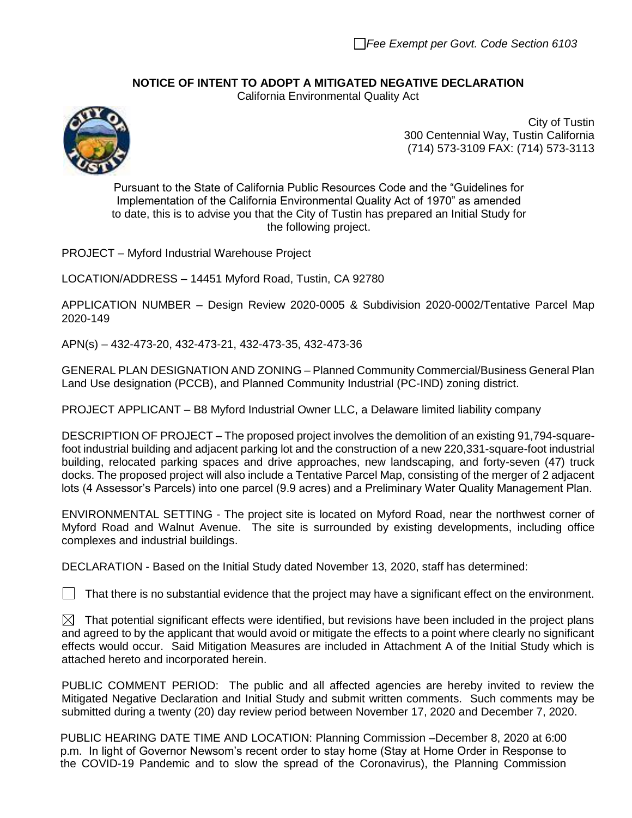## **NOTICE OF INTENT TO ADOPT A MITIGATED NEGATIVE DECLARATION**

California Environmental Quality Act



City of Tustin 300 Centennial Way, Tustin California (714) 573-3109 FAX: (714) 573-3113

Pursuant to the State of California Public Resources Code and the "Guidelines for Implementation of the California Environmental Quality Act of 1970" as amended to date, this is to advise you that the City of Tustin has prepared an Initial Study for the following project.

PROJECT – Myford Industrial Warehouse Project

LOCATION/ADDRESS – 14451 Myford Road, Tustin, CA 92780

APPLICATION NUMBER – Design Review 2020-0005 & Subdivision 2020-0002/Tentative Parcel Map 2020-149

APN(s) – 432-473-20, 432-473-21, 432-473-35, 432-473-36

GENERAL PLAN DESIGNATION AND ZONING – Planned Community Commercial/Business General Plan Land Use designation (PCCB), and Planned Community Industrial (PC-IND) zoning district.

PROJECT APPLICANT – B8 Myford Industrial Owner LLC, a Delaware limited liability company

DESCRIPTION OF PROJECT – The proposed project involves the demolition of an existing 91,794-squarefoot industrial building and adjacent parking lot and the construction of a new 220,331-square-foot industrial building, relocated parking spaces and drive approaches, new landscaping, and forty-seven (47) truck docks. The proposed project will also include a Tentative Parcel Map, consisting of the merger of 2 adjacent lots (4 Assessor's Parcels) into one parcel (9.9 acres) and a Preliminary Water Quality Management Plan.

ENVIRONMENTAL SETTING - The project site is located on Myford Road, near the northwest corner of Myford Road and Walnut Avenue. The site is surrounded by existing developments, including office complexes and industrial buildings.

DECLARATION - Based on the Initial Study dated November 13, 2020, staff has determined:

 $\Box$  That there is no substantial evidence that the project may have a significant effect on the environment.

 $\boxtimes$  That potential significant effects were identified, but revisions have been included in the project plans and agreed to by the applicant that would avoid or mitigate the effects to a point where clearly no significant effects would occur. Said Mitigation Measures are included in Attachment A of the Initial Study which is attached hereto and incorporated herein.

PUBLIC COMMENT PERIOD: The public and all affected agencies are hereby invited to review the Mitigated Negative Declaration and Initial Study and submit written comments. Such comments may be submitted during a twenty (20) day review period between November 17, 2020 and December 7, 2020.

PUBLIC HEARING DATE TIME AND LOCATION: Planning Commission –December 8, 2020 at 6:00 p.m. In light of Governor Newsom's recent order to stay home (Stay at Home Order in Response to the COVID-19 Pandemic and to slow the spread of the Coronavirus), the Planning Commission